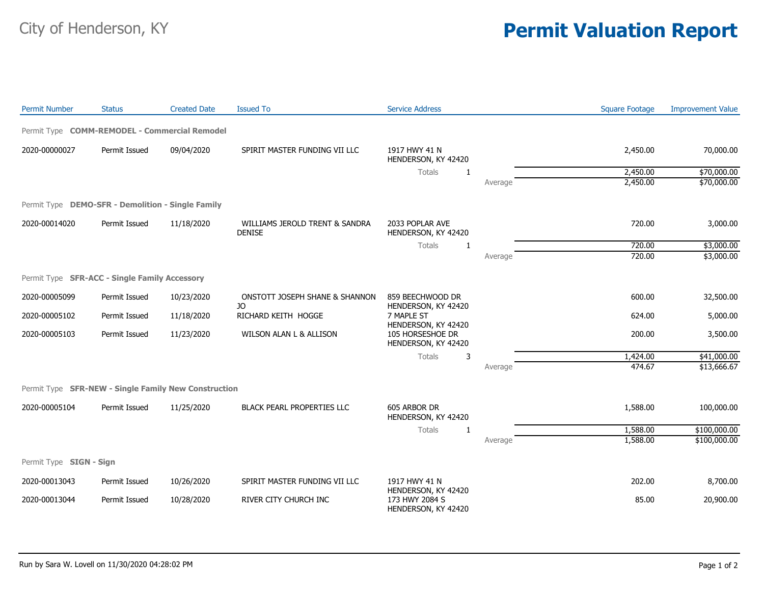## City of Henderson, KY **Permit Valuation Report**

| <b>Permit Number</b>    | <b>Status</b>                                        | <b>Created Date</b> | <b>Issued To</b>                                | <b>Service Address</b>                                 |         | <b>Square Footage</b> | <b>Improvement Value</b> |
|-------------------------|------------------------------------------------------|---------------------|-------------------------------------------------|--------------------------------------------------------|---------|-----------------------|--------------------------|
|                         | Permit Type COMM-REMODEL - Commercial Remodel        |                     |                                                 |                                                        |         |                       |                          |
| 2020-00000027           | Permit Issued                                        | 09/04/2020          | SPIRIT MASTER FUNDING VII LLC                   | 1917 HWY 41 N<br>HENDERSON, KY 42420                   |         | 2,450.00              | 70,000.00                |
|                         |                                                      |                     |                                                 | <b>Totals</b><br>1                                     |         | 2,450.00              | \$70,000.00              |
|                         |                                                      |                     |                                                 |                                                        | Average | 2,450.00              | \$70,000.00              |
|                         | Permit Type DEMO-SFR - Demolition - Single Family    |                     |                                                 |                                                        |         |                       |                          |
| 2020-00014020           | Permit Issued                                        | 11/18/2020          | WILLIAMS JEROLD TRENT & SANDRA<br><b>DENISE</b> | 2033 POPLAR AVE<br>HENDERSON, KY 42420                 |         | 720.00                | 3,000.00                 |
|                         |                                                      |                     |                                                 | Totals<br>$\mathbf{1}$                                 |         | 720.00                | \$3,000.00               |
|                         |                                                      |                     |                                                 |                                                        | Average | 720.00                | \$3,000.00               |
|                         | Permit Type SFR-ACC - Single Family Accessory        |                     |                                                 |                                                        |         |                       |                          |
| 2020-00005099           | Permit Issued                                        | 10/23/2020          | ONSTOTT JOSEPH SHANE & SHANNON<br>JO            | 859 BEECHWOOD DR<br>HENDERSON, KY 42420                |         | 600.00                | 32,500.00                |
| 2020-00005102           | Permit Issued                                        | 11/18/2020          | RICHARD KEITH HOGGE                             | 7 MAPLE ST<br>HENDERSON, KY 42420                      |         | 624.00                | 5,000.00                 |
| 2020-00005103           | Permit Issued                                        | 11/23/2020          | WILSON ALAN L & ALLISON                         | 105 HORSESHOE DR<br>HENDERSON, KY 42420<br>Totals<br>3 |         | 200.00                | 3,500.00                 |
|                         |                                                      |                     |                                                 |                                                        |         | 1,424.00              | \$41,000.00              |
|                         |                                                      |                     |                                                 |                                                        | Average | 474.67                | \$13,666.67              |
|                         | Permit Type SFR-NEW - Single Family New Construction |                     |                                                 |                                                        |         |                       |                          |
| 2020-00005104           | Permit Issued                                        | 11/25/2020          | <b>BLACK PEARL PROPERTIES LLC</b>               | 605 ARBOR DR<br>HENDERSON, KY 42420                    |         | 1,588.00              | 100,000.00               |
|                         |                                                      |                     |                                                 | Totals<br>1                                            |         | 1,588.00              | \$100,000.00             |
|                         |                                                      |                     |                                                 |                                                        | Average | 1,588.00              | \$100,000.00             |
| Permit Type SIGN - Sign |                                                      |                     |                                                 |                                                        |         |                       |                          |
| 2020-00013043           | Permit Issued                                        | 10/26/2020          | SPIRIT MASTER FUNDING VII LLC                   | 1917 HWY 41 N<br>HENDERSON, KY 42420                   |         | 202.00                | 8,700.00                 |
| 2020-00013044           | Permit Issued                                        | 10/28/2020          | RIVER CITY CHURCH INC                           | 173 HWY 2084 S<br>HENDERSON, KY 42420                  |         | 85.00                 | 20,900.00                |